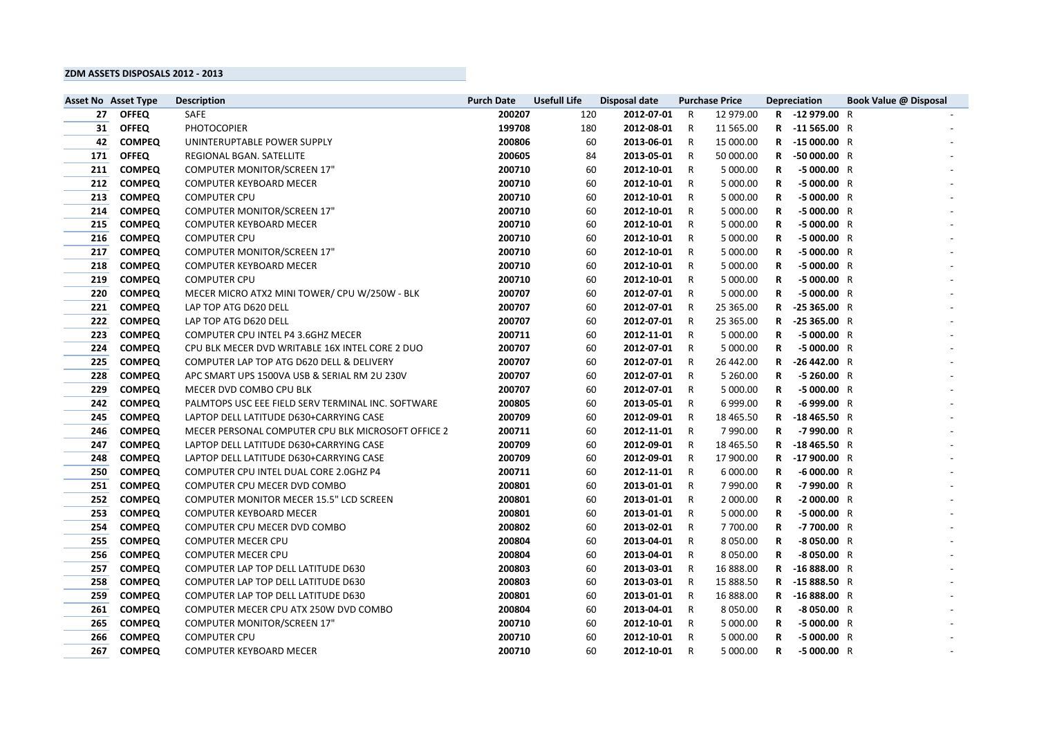## **ZDM ASSETS DISPOSALS 2012 - 2013**

|     | <b>Asset No Asset Type</b> | <b>Description</b>                                 | <b>Purch Date</b> | <b>Usefull Life</b> | <b>Disposal date</b> | <b>Purchase Price</b> |               | <b>Depreciation</b> |                | <b>Book Value @ Disposal</b> |  |
|-----|----------------------------|----------------------------------------------------|-------------------|---------------------|----------------------|-----------------------|---------------|---------------------|----------------|------------------------------|--|
| 27  | <b>OFFEQ</b>               | <b>SAFE</b>                                        | 200207            | 120                 | 2012-07-01           | - R                   | 12 979.00     |                     | R -12 979.00 R |                              |  |
| 31  | <b>OFFEQ</b>               | <b>PHOTOCOPIER</b>                                 | 199708            | 180                 | 2012-08-01           | R                     | 11 565.00     |                     | R -11565.00 R  |                              |  |
| 42  | <b>COMPEQ</b>              | UNINTERUPTABLE POWER SUPPLY                        | 200806            | 60                  | 2013-06-01           | -R                    | 15 000.00     |                     | R -15 000.00 R |                              |  |
| 171 | <b>OFFEQ</b>               | REGIONAL BGAN. SATELLITE                           | 200605            | 84                  | 2013-05-01           | R                     | 50 000.00     | $\mathsf{R}$        | $-50000.00$ R  |                              |  |
| 211 | <b>COMPEQ</b>              | <b>COMPUTER MONITOR/SCREEN 17"</b>                 | 200710            | 60                  | 2012-10-01           | - R                   | 5 000.00      | R.                  | $-5000.00$ R   |                              |  |
| 212 | <b>COMPEQ</b>              | <b>COMPUTER KEYBOARD MECER</b>                     | 200710            | 60                  | 2012-10-01           | - R                   | 5 000.00      | R                   | $-5000.00$ R   |                              |  |
| 213 | <b>COMPEQ</b>              | <b>COMPUTER CPU</b>                                | 200710            | 60                  | 2012-10-01           | R                     | 5 000.00      | R                   | $-5000.00$ R   |                              |  |
| 214 | <b>COMPEQ</b>              | <b>COMPUTER MONITOR/SCREEN 17"</b>                 | 200710            | 60                  | 2012-10-01           | R                     | 5 000.00      | R                   | $-5000.00$ R   |                              |  |
| 215 | <b>COMPEQ</b>              | <b>COMPUTER KEYBOARD MECER</b>                     | 200710            | 60                  | 2012-10-01           | R                     | 5 000.00      | R                   | $-5000.00$ R   |                              |  |
| 216 | <b>COMPEQ</b>              | <b>COMPUTER CPU</b>                                | 200710            | 60                  | 2012-10-01           | - R                   | 5 000.00      | R                   | $-5000.00$ R   |                              |  |
| 217 | <b>COMPEQ</b>              | <b>COMPUTER MONITOR/SCREEN 17"</b>                 | 200710            | 60                  | 2012-10-01           | R                     | 5 000.00      | R                   | $-5000.00$ R   |                              |  |
| 218 | <b>COMPEQ</b>              | <b>COMPUTER KEYBOARD MECER</b>                     | 200710            | 60                  | 2012-10-01           | R                     | 5 000.00      | R                   | $-5000.00$ R   |                              |  |
| 219 | <b>COMPEQ</b>              | <b>COMPUTER CPU</b>                                | 200710            | 60                  | 2012-10-01           | R                     | 5 000.00      | R.                  | $-5000.00$ R   |                              |  |
| 220 | <b>COMPEQ</b>              | MECER MICRO ATX2 MINI TOWER/ CPU W/250W - BLK      | 200707            | 60                  | 2012-07-01           | R                     | 5 000.00      | R                   | $-5000.00$ R   |                              |  |
| 221 | <b>COMPEQ</b>              | LAP TOP ATG D620 DELL                              | 200707            | 60                  | 2012-07-01           | -R                    | 25 365.00     | R.                  | $-25365.00 R$  |                              |  |
| 222 | <b>COMPEQ</b>              | LAP TOP ATG D620 DELL                              | 200707            | 60                  | 2012-07-01           | -R                    | 25 365.00     | R                   | $-25365.00 R$  |                              |  |
| 223 | <b>COMPEQ</b>              | COMPUTER CPU INTEL P4 3.6GHZ MECER                 | 200711            | 60                  | 2012-11-01           | R                     | 5 000.00      | R                   | $-5000.00$ R   |                              |  |
| 224 | <b>COMPEQ</b>              | CPU BLK MECER DVD WRITABLE 16X INTEL CORE 2 DUO    | 200707            | 60                  | 2012-07-01           | R                     | 5 000.00      | R                   | $-5000.00$ R   |                              |  |
| 225 | <b>COMPEQ</b>              | COMPUTER LAP TOP ATG D620 DELL & DELIVERY          | 200707            | 60                  | 2012-07-01           | R                     | 26 442.00     | R                   | $-26442.00 R$  |                              |  |
| 228 | <b>COMPEQ</b>              | APC SMART UPS 1500VA USB & SERIAL RM 2U 230V       | 200707            | 60                  | 2012-07-01           | - R                   | 5 260.00      | R.                  | $-5260.00 R$   |                              |  |
| 229 | <b>COMPEQ</b>              | MECER DVD COMBO CPU BLK                            | 200707            | 60                  | 2012-07-01           | R                     | 5 000.00      | R                   | $-5000.00$ R   |                              |  |
| 242 | <b>COMPEQ</b>              | PALMTOPS USC EEE FIELD SERV TERMINAL INC. SOFTWARE | 200805            | 60                  | 2013-05-01           | R                     | 6 999.00      | R.                  | $-6999.00 R$   |                              |  |
| 245 | <b>COMPEQ</b>              | LAPTOP DELL LATITUDE D630+CARRYING CASE            | 200709            | 60                  | 2012-09-01           | - R                   | 18 4 65.50    | $\mathsf{R}$        | $-18465.50$ R  |                              |  |
| 246 | <b>COMPEQ</b>              | MECER PERSONAL COMPUTER CPU BLK MICROSOFT OFFICE 2 | 200711            | 60                  | 2012-11-01           | R                     | 7 990.00      | R                   | -7990.00 R     |                              |  |
| 247 | <b>COMPEQ</b>              | LAPTOP DELL LATITUDE D630+CARRYING CASE            | 200709            | 60                  | 2012-09-01           | -R                    | 18 465.50     | R                   | $-18465.50$ R  |                              |  |
| 248 | <b>COMPEQ</b>              | LAPTOP DELL LATITUDE D630+CARRYING CASE            | 200709            | 60                  | 2012-09-01           | R                     | 17 900.00     | $\mathsf{R}$        | $-17900.00$ R  |                              |  |
| 250 | <b>COMPEQ</b>              | COMPUTER CPU INTEL DUAL CORE 2.0GHZ P4             | 200711            | 60                  | 2012-11-01           | $\mathsf{R}$          | 6 000.00      | R.                  | $-6000.00 R$   |                              |  |
| 251 | <b>COMPEQ</b>              | COMPUTER CPU MECER DVD COMBO                       | 200801            | 60                  | 2013-01-01           | R                     | 7 990.00      | R                   | -7990.00 R     |                              |  |
| 252 | <b>COMPEQ</b>              | <b>COMPUTER MONITOR MECER 15.5" LCD SCREEN</b>     | 200801            | 60                  | 2013-01-01           | R                     | 2 000.00      | R.                  | $-2000.00$ R   |                              |  |
| 253 | <b>COMPEQ</b>              | <b>COMPUTER KEYBOARD MECER</b>                     | 200801            | 60                  | 2013-01-01           | R.                    | 5 000.00      | R                   | $-5000.00$ R   |                              |  |
| 254 | <b>COMPEQ</b>              | COMPUTER CPU MECER DVD COMBO                       | 200802            | 60                  | 2013-02-01           | <b>R</b>              | 7 700.00      | R                   | -7 700.00 R    |                              |  |
| 255 | <b>COMPEQ</b>              | <b>COMPUTER MECER CPU</b>                          | 200804            | 60                  | 2013-04-01           | R                     | 8 0 5 0 . 0 0 | R.                  | $-8050.00 R$   |                              |  |
| 256 | <b>COMPEQ</b>              | <b>COMPUTER MECER CPU</b>                          | 200804            | 60                  | 2013-04-01           | R                     | 8 0 5 0 . 0 0 | R                   | $-8050.00 R$   |                              |  |
| 257 | <b>COMPEQ</b>              | COMPUTER LAP TOP DELL LATITUDE D630                | 200803            | 60                  | 2013-03-01           | R                     | 16 888.00     | R                   | $-16888.00 R$  |                              |  |
| 258 | <b>COMPEQ</b>              | COMPUTER LAP TOP DELL LATITUDE D630                | 200803            | 60                  | 2013-03-01           | R                     | 15 888.50     |                     | R -15 888.50 R |                              |  |
| 259 | <b>COMPEQ</b>              | COMPUTER LAP TOP DELL LATITUDE D630                | 200801            | 60                  | 2013-01-01           | R                     | 16 888.00     | R.                  | $-16888.00 R$  |                              |  |
| 261 | <b>COMPEQ</b>              | COMPUTER MECER CPU ATX 250W DVD COMBO              | 200804            | 60                  | 2013-04-01           | R                     | 8 0 5 0 . 0 0 | R.                  | $-8050.00 R$   |                              |  |
| 265 | <b>COMPEQ</b>              | <b>COMPUTER MONITOR/SCREEN 17"</b>                 | 200710            | 60                  | 2012-10-01           | <b>R</b>              | 5 000.00      | R.                  | $-5000.00$ R   |                              |  |
| 266 | <b>COMPEQ</b>              | <b>COMPUTER CPU</b>                                | 200710            | 60                  | 2012-10-01           | R                     | 5 000.00      | R.                  | $-5000.00$ R   |                              |  |
| 267 | <b>COMPEQ</b>              | <b>COMPUTER KEYBOARD MECER</b>                     | 200710            | 60                  | 2012-10-01           | R                     | 5 000.00      | R                   | $-5000.00$ R   |                              |  |